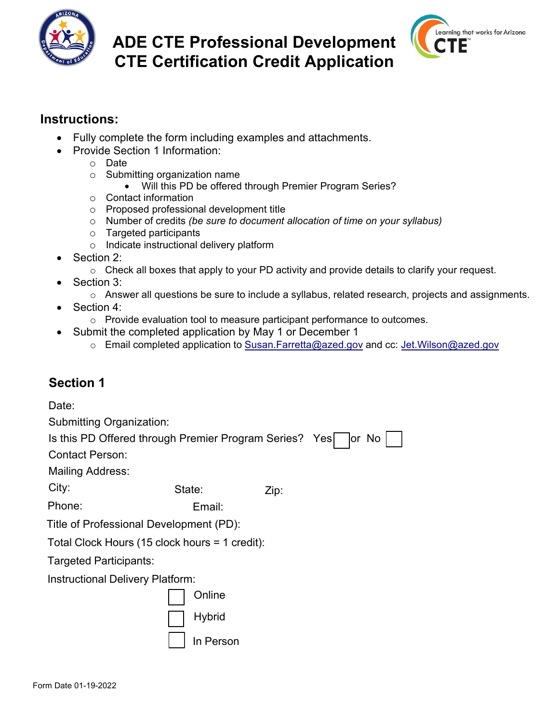

# **ADE CTE Professional Development CTE Certification Credit Application**



#### **Instructions:**

- Fully complete the form including examples [and attachments.](mailto:Jet.Wilson@azed.gov)
- Provide Section 1 Information:
	- o Date
	- o Submitting organization name
		- Will this PD be offered through Premier Program Series?
	- o Contact information
	- o Proposed professional development title
	- o Number of credits *(be sure to document allocation of time on your syllabus)*
	- o Targeted participants
	- o Indicate instructional delivery platform
- Section 2:
	- $\circ$  Check all boxes that apply to your PD activity and provide details to clarify your request.
- Section 3:
	- o Answer all questions be sure to include a syllabus, related research, projects and assignments.
- Section 4:
	- $\circ$  Provide evaluation tool to measure participant performance to outcomes.
- Submit the completed application by May 1 or December 1
	- o Email completed application to Susan.Farretta@azed.gov and cc: Jet.Wilson@azed.gov

## **Section 1**

State: **Zip:** Date: Submitting Organization: Is this PD Offered through Premier Program Series? Yes | | | | or No Contact Person: Mailing Address: City: Phone: Email: Title of Professional Development (PD): Total Clock Hours (15 clock hours = 1 credit): Targeted Participants: Instructional Delivery Platform: Online **Hybrid** 

In Person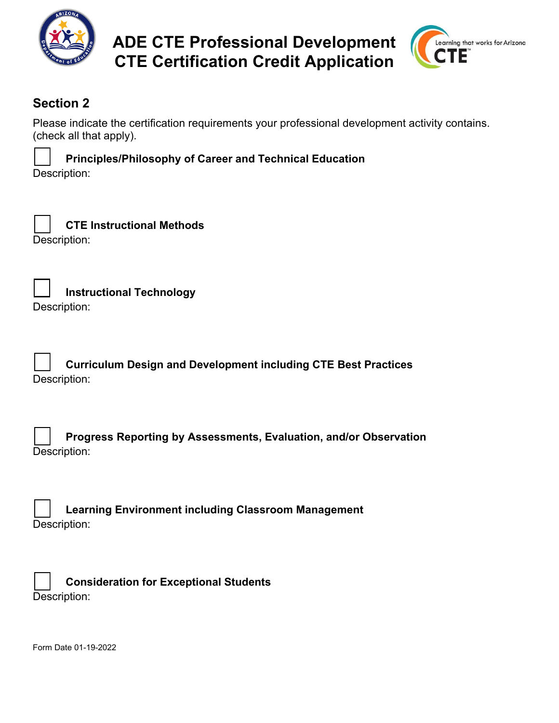

**ADE CTE Professional Development CTE Certification Credit Application**



## **Section 2**

Please indicate the certification requirements your professional development activity contains. (check all that apply).

**Principles/Philosophy of Career and Technical Education**  Description:

| CTE Instructional Methods |
|---------------------------|
| Description:              |

**Instructional Technology** 

Description:

**Curriculum Design and Development including CTE Best Practices**  Description:

| <b>Progress Reporting by Assessments, Evaluation, and/or Observation</b> |
|--------------------------------------------------------------------------|
| Description:                                                             |

**Learning Environment including Classroom Management**  Description:

| <b>Consideration for Exceptional Students</b> |
|-----------------------------------------------|
| Description:                                  |

Form Date 01-19-2022